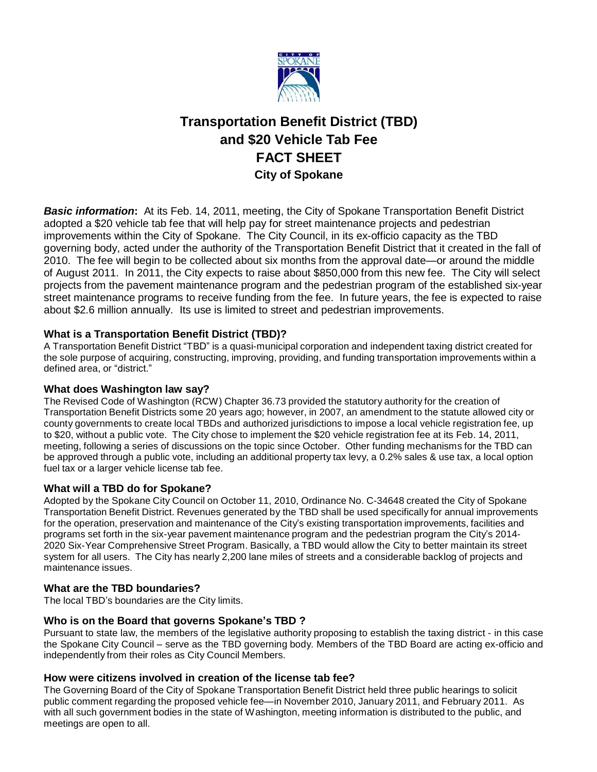

# **Transportation Benefit District (TBD) and \$20 Vehicle Tab Fee FACT SHEET City of Spokane**

*Basic information***:** At its Feb. 14, 2011, meeting, the City of Spokane Transportation Benefit District adopted a \$20 vehicle tab fee that will help pay for street maintenance projects and pedestrian improvements within the City of Spokane. The City Council, in its ex-officio capacity as the TBD governing body, acted under the authority of the Transportation Benefit District that it created in the fall of 2010. The fee will begin to be collected about six months from the approval date—or around the middle of August 2011. In 2011, the City expects to raise about \$850,000 from this new fee. The City will select projects from the pavement maintenance program and the pedestrian program of the established six-year street maintenance programs to receive funding from the fee. In future years, the fee is expected to raise about \$2.6 million annually. Its use is limited to street and pedestrian improvements.

## **What is a Transportation Benefit District (TBD)?**

A Transportation Benefit District "TBD" is a quasi-municipal corporation and independent taxing district created for the sole purpose of acquiring, constructing, improving, providing, and funding transportation improvements within a defined area, or "district."

## **What does Washington law say?**

The Revised Code of Washington (RCW) Chapter 36.73 provided the statutory authority for the creation of Transportation Benefit Districts some 20 years ago; however, in 2007, an amendment to the statute allowed city or county governments to create local TBDs and authorized jurisdictions to impose a local vehicle registration fee, up to \$20, without a public vote. The City chose to implement the \$20 vehicle registration fee at its Feb. 14, 2011, meeting, following a series of discussions on the topic since October. Other funding mechanisms for the TBD can be approved through a public vote, including an additional property tax levy, a 0.2% sales & use tax, a local option fuel tax or a larger vehicle license tab fee.

## **What will a TBD do for Spokane?**

Adopted by the Spokane City Council on October 11, 2010, Ordinance No. C-34648 created the City of Spokane Transportation Benefit District. Revenues generated by the TBD shall be used specifically for annual improvements for the operation, preservation and maintenance of the City's existing transportation improvements, facilities and programs set forth in the six-year pavement maintenance program and the pedestrian program the City's 2014- 2020 Six-Year Comprehensive Street Program. Basically, a TBD would allow the City to better maintain its street system for all users. The City has nearly 2,200 lane miles of streets and a considerable backlog of projects and maintenance issues.

## **What are the TBD boundaries?**

The local TBD's boundaries are the City limits.

#### **Who is on the Board that governs Spokane's TBD ?**

Pursuant to state law, the members of the legislative authority proposing to establish the taxing district - in this case the Spokane City Council – serve as the TBD governing body. Members of the TBD Board are acting ex-officio and independently from their roles as City Council Members.

## **How were citizens involved in creation of the license tab fee?**

The Governing Board of the City of Spokane Transportation Benefit District held three public hearings to solicit public comment regarding the proposed vehicle fee—in November 2010, January 2011, and February 2011. As with all such government bodies in the state of Washington, meeting information is distributed to the public, and meetings are open to all.